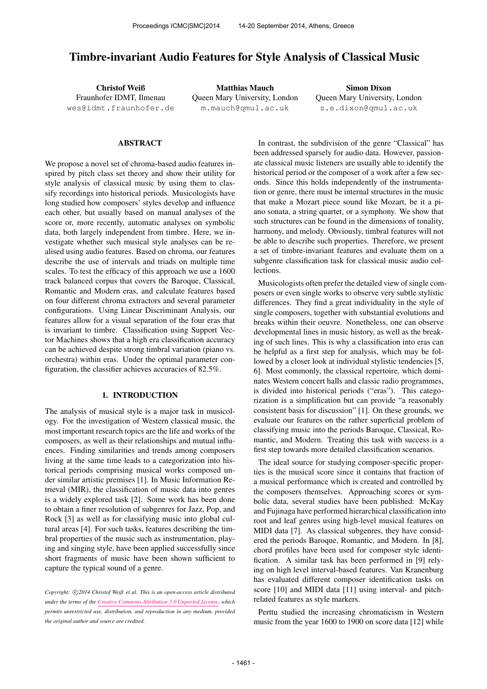# Timbre-invariant Audio Features for Style Analysis of Classical Music

Christof Weiß Fraunhofer IDMT, Ilmenau [wes@idmt.fraunhofer.de](mailto:wes@idmt.fraunhofer.de)

Matthias Mauch Queen Mary University, London [m.mauch@qmul.ac.uk](mailto:m.mauch@qmul.ac.uk)

Simon Dixon Queen Mary University, London [s.e.dixon@qmul.ac.uk](mailto:s.e.dixon@qmul.ac.uk)

# ABSTRACT

We propose a novel set of chroma-based audio features inspired by pitch class set theory and show their utility for style analysis of classical music by using them to classify recordings into historical periods. Musicologists have long studied how composers' styles develop and influence each other, but usually based on manual analyses of the score or, more recently, automatic analyses on symbolic data, both largely independent from timbre. Here, we investigate whether such musical style analyses can be realised using audio features. Based on chroma, our features describe the use of intervals and triads on multiple time scales. To test the efficacy of this approach we use a 1600 track balanced corpus that covers the Baroque, Classical, Romantic and Modern eras, and calculate features based on four different chroma extractors and several parameter configurations. Using Linear Discriminant Analysis, our features allow for a visual separation of the four eras that is invariant to timbre. Classification using Support Vector Machines shows that a high era classification accuracy can be achieved despite strong timbral variation (piano vs. orchestra) within eras. Under the optimal parameter configuration, the classifier achieves accuracies of 82.5%.

# 1. INTRODUCTION

The analysis of musical style is a major task in musicology. For the investigation of Western classical music, the most important research topics are the life and works of the composers, as well as their relationships and mutual influences. Finding similarities and trends among composers living at the same time leads to a categorization into historical periods comprising musical works composed under similar artistic premises [1]. In Music Information Retrieval (MIR), the classification of music data into genres is a widely explored task [2]. Some work has been done to obtain a finer resolution of subgenres for Jazz, Pop, and Rock [3] as well as for classifying music into global cultural areas [4]. For such tasks, features describing the timbral properties of the music such as instrumentation, playing and singing style, have been applied successfully since short fragments of music have been shown sufficient to capture the typical sound of a genre.

Copyright:  $\bigcirc$ 2014 Christof Weiß et al. This is an open-access article distributed *under the terms of the [Creative Commons Attribution 3.0 Unported License,](http://creativecommons.org/licenses/by/3.0/) which permits unrestricted use, distribution, and reproduction in any medium, provided the original author and source are credited.*

In contrast, the subdivision of the genre "Classical" has been addressed sparsely for audio data. However, passionate classical music listeners are usually able to identify the historical period or the composer of a work after a few seconds. Since this holds independently of the instrumentation or genre, there must be internal structures in the music that make a Mozart piece sound like Mozart, be it a piano sonata, a string quartet, or a symphony. We show that such structures can be found in the dimensions of tonality, harmony, and melody. Obviously, timbral features will not be able to describe such properties. Therefore, we present a set of timbre-invariant features and evaluate them on a subgenre classification task for classical music audio collections.

Musicologists often prefer the detailed view of single composers or even single works to observe very subtle stylistic differences. They find a great individuality in the style of single composers, together with substantial evolutions and breaks within their oeuvre. Nonetheless, one can observe developmental lines in music history, as well as the breaking of such lines. This is why a classification into eras can be helpful as a first step for analysis, which may be followed by a closer look at individual stylistic tendencies [5, 6]. Most commonly, the classical repertoire, which dominates Western concert halls and classic radio programmes, is divided into historical periods ("eras"). This categorization is a simplification but can provide "a reasonably consistent basis for discussion" [1]. On these grounds, we evaluate our features on the rather superficial problem of classifying music into the periods Baroque, Classical, Romantic, and Modern. Treating this task with success is a first step towards more detailed classification scenarios.

The ideal source for studying composer-specific properties is the musical score since it contains that fraction of a musical performance which is created and controlled by the composers themselves. Approaching scores or symbolic data, several studies have been published: McKay and Fujinaga have performed hierarchical classification into root and leaf genres using high-level musical features on MIDI data [7]. As classical subgenres, they have considered the periods Baroque, Romantic, and Modern. In [8], chord profiles have been used for composer style identification. A similar task has been performed in [9] relying on high level interval-based features. Van Kranenburg has evaluated different composer identification tasks on score [10] and MIDI data [11] using interval- and pitchrelated features as style markers.

Perttu studied the increasing chromaticism in Western music from the year 1600 to 1900 on score data [12] while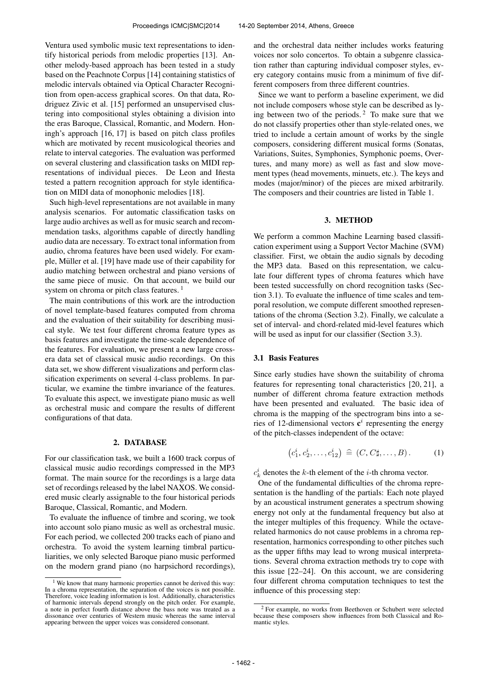Ventura used symbolic music text representations to identify historical periods from melodic properties [13]. Another melody-based approach has been tested in a study based on the Peachnote Corpus [14] containing statistics of melodic intervals obtained via Optical Character Recognition from open-access graphical scores. On that data, Rodriguez Zivic et al. [15] performed an unsupervised clustering into compositional styles obtaining a division into the eras Baroque, Classical, Romantic, and Modern. Honingh's approach [16, 17] is based on pitch class profiles which are motivated by recent musicological theories and relate to interval categories. The evaluation was performed on several clustering and classification tasks on MIDI representations of individual pieces. De Leon and Iñesta tested a pattern recognition approach for style identification on MIDI data of monophonic melodies [18].

Such high-level representations are not available in many analysis scenarios. For automatic classification tasks on large audio archives as well as for music search and recommendation tasks, algorithms capable of directly handling audio data are necessary. To extract tonal information from audio, chroma features have been used widely. For example, Müller et al. [19] have made use of their capability for audio matching between orchestral and piano versions of the same piece of music. On that account, we build our system on chroma or pitch class features.<sup>1</sup>

The main contributions of this work are the introduction of novel template-based features computed from chroma and the evaluation of their suitability for describing musical style. We test four different chroma feature types as basis features and investigate the time-scale dependence of the features. For evaluation, we present a new large crossera data set of classical music audio recordings. On this data set, we show different visualizations and perform classification experiments on several 4-class problems. In particular, we examine the timbre invariance of the features. To evaluate this aspect, we investigate piano music as well as orchestral music and compare the results of different configurations of that data.

#### 2. DATABASE

For our classification task, we built a 1600 track corpus of classical music audio recordings compressed in the MP3 format. The main source for the recordings is a large data set of recordings released by the label NAXOS. We considered music clearly assignable to the four historical periods Baroque, Classical, Romantic, and Modern.

To evaluate the influence of timbre and scoring, we took into account solo piano music as well as orchestral music. For each period, we collected 200 tracks each of piano and orchestra. To avoid the system learning timbral particuliarities, we only selected Baroque piano music performed on the modern grand piano (no harpsichord recordings), and the orchestral data neither includes works featuring voices nor solo concertos. To obtain a subgenre classication rather than capturing individual composer styles, every category contains music from a minimum of five different composers from three different countries.

Since we want to perform a baseline experiment, we did not include composers whose style can be described as lying between two of the periods. <sup>2</sup> To make sure that we do not classify properties other than style-related ones, we tried to include a certain amount of works by the single composers, considering different musical forms (Sonatas, Variations, Suites, Symphonies, Symphonic poems, Overtures, and many more) as well as fast and slow movement types (head movements, minuets, etc.). The keys and modes (major/minor) of the pieces are mixed arbitrarily. The composers and their countries are listed in Table 1.

#### 3. METHOD

We perform a common Machine Learning based classification experiment using a Support Vector Machine (SVM) classifier. First, we obtain the audio signals by decoding the MP3 data. Based on this representation, we calculate four different types of chroma features which have been tested successfully on chord recognition tasks (Section 3.1). To evaluate the influence of time scales and temporal resolution, we compute different smoothed representations of the chroma (Section 3.2). Finally, we calculate a set of interval- and chord-related mid-level features which will be used as input for our classifier (Section 3.3).

### 3.1 Basis Features

Since early studies have shown the suitability of chroma features for representing tonal characteristics [20, 21], a number of different chroma feature extraction methods have been presented and evaluated. The basic idea of chroma is the mapping of the spectrogram bins into a series of 12-dimensional vectors  $c^i$  representing the energy of the pitch-classes independent of the octave:

$$
(c_1^i, c_2^i, \dots, c_{12}^i) \,\,\widehat{=}\,\, (C, C\sharp, \dots, B)\,.
$$
 (1)

 $c_k^i$  denotes the k-th element of the *i*-th chroma vector.

One of the fundamental difficulties of the chroma representation is the handling of the partials: Each note played by an acoustical instrument generates a spectrum showing energy not only at the fundamental frequency but also at the integer multiples of this frequency. While the octaverelated harmonics do not cause problems in a chroma representation, harmonics corresponding to other pitches such as the upper fifths may lead to wrong musical interpretations. Several chroma extraction methods try to cope with this issue [22–24]. On this account, we are considering four different chroma computation techniques to test the influence of this processing step:

<sup>&</sup>lt;sup>1</sup> We know that many harmonic properties cannot be derived this way: In a chroma representation, the separation of the voices is not possible. Therefore, voice leading information is lost. Additionally, characteristics of harmonic intervals depend strongly on the pitch order. For example, a note in perfect fourth distance above the bass note was treated as a dissonance over centuries of Western music whereas the same interval appearing between the upper voices was considered consonant.

<sup>2</sup> For example, no works from Beethoven or Schubert were selected because these composers show influences from both Classical and Romantic styles.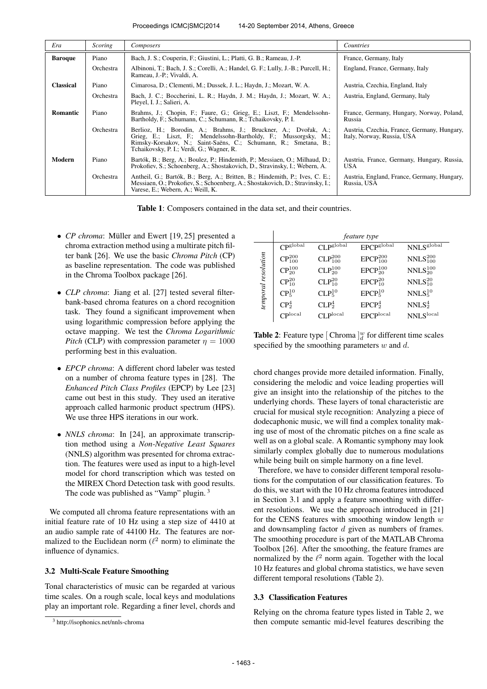| Era              | <i>Scoring</i> | Composers                                                                                                                                                                                                                                            | Countries                                                                 |
|------------------|----------------|------------------------------------------------------------------------------------------------------------------------------------------------------------------------------------------------------------------------------------------------------|---------------------------------------------------------------------------|
| <b>Baroque</b>   | Piano          | Bach, J. S.; Couperin, F.; Giustini, L.; Platti, G. B.; Rameau, J.-P.                                                                                                                                                                                | France, Germany, Italy                                                    |
|                  | Orchestra      | Albinoni, T.; Bach, J. S.; Corelli, A.; Handel, G. F.; Lully, J.-B.; Purcell, H.;<br>Rameau, J.-P.; Vivaldi, A.                                                                                                                                      | England, France, Germany, Italy                                           |
| <b>Classical</b> | Piano          | Cimarosa, D.; Clementi, M.; Dussek, J. L.; Haydn, J.; Mozart, W. A.                                                                                                                                                                                  | Austria, Czechia, England, Italy                                          |
|                  | Orchestra      | Bach, J. C.; Boccherini, L. R.; Haydn, J. M.; Haydn, J.; Mozart, W. A.;<br>Pleyel, I. J.; Salieri, A.                                                                                                                                                | Austria, England, Germany, Italy                                          |
| Romantic         | Piano          | Brahms, J.; Chopin, F.; Faure, G.; Grieg, E.; Liszt, F.; Mendelssohn-<br>Bartholdy, F.; Schumann, C.; Schumann, R.; Tchaikovsky, P. I.                                                                                                               | France, Germany, Hungary, Norway, Poland,<br>Russia                       |
|                  | Orchestra      | Berlioz, H.; Borodin, A.; Brahms, J.; Bruckner, A.; Dvořak, A.;<br>Grieg, E.; Liszt, F.; Mendelssohn-Bartholdy, F.; Mussorgsky, M.;<br>Rimsky-Korsakov, N.; Saint-Saëns, C.; Schumann, R.; Smetana, B.;<br>Tchaikovsky, P. I.; Verdi, G.; Wagner, R. | Austria, Czechia, France, Germany, Hungary,<br>Italy, Norway, Russia, USA |
| Modern           | Piano          | Bartók, B.; Berg, A.; Boulez, P.; Hindemith, P.; Messiaen, O.; Milhaud, D.;<br>Prokofiev, S.; Schoenberg, A.; Shostakovich, D., Stravinsky, I.; Webern, A.                                                                                           | Austria, France, Germany, Hungary, Russia,<br><b>USA</b>                  |
|                  | Orchestra      | Antheil, G.; Bartók, B.; Berg, A.; Britten, B.; Hindemith, P.; Ives, C. E.;<br>Messiaen, O.; Prokofiev, S.; Schoenberg, A.; Shostakovich, D.; Stravinsky, I.;<br>Varese, E.; Webern, A.; Weill, K.                                                   | Austria, England, France, Germany, Hungary,<br>Russia, USA                |

Table 1: Composers contained in the data set, and their countries.

- *CP chroma*: Müller and Ewert [19, 25] presented a chroma extraction method using a multirate pitch filter bank [26]. We use the basic *Chroma Pitch* (CP) as baseline representation. The code was published in the Chroma Toolbox package [26].
- *CLP chroma*: Jiang et al. [27] tested several filterbank-based chroma features on a chord recognition task. They found a significant improvement when using logarithmic compression before applying the octave mapping. We test the *Chroma Logarithmic Pitch* (CLP) with compression parameter  $\eta = 1000$ performing best in this evaluation.
- *EPCP chroma*: A different chord labeler was tested on a number of chroma feature types in [28]. The *Enhanced Pitch Class Profiles* (EPCP) by Lee [23] came out best in this study. They used an iterative approach called harmonic product spectrum (HPS). We use three HPS iterations in our work.
- *NNLS chroma*: In [24], an approximate transcription method using a *Non-Negative Least Squares* (NNLS) algorithm was presented for chroma extraction. The features were used as input to a high-level model for chord transcription which was tested on the MIREX Chord Detection task with good results. The code was published as "Vamp" plugin.<sup>3</sup>

We computed all chroma feature representations with an initial feature rate of 10 Hz using a step size of 4410 at an audio sample rate of 44100 Hz. The features are normalized to the Euclidean norm ( $\ell^2$  norm) to eliminate the influence of dynamics.

## 3.2 Multi-Scale Feature Smoothing

Tonal characteristics of music can be regarded at various time scales. On a rough scale, local keys and modulations play an important role. Regarding a finer level, chords and

|                     | <i>feature type</i>           |                                |                                   |                                 |  |  |  |
|---------------------|-------------------------------|--------------------------------|-----------------------------------|---------------------------------|--|--|--|
|                     | CP <sub>global</sub>          | CLP <sub>global</sub>          | <b>EPCP</b> global                | NNLS <sup>global</sup>          |  |  |  |
|                     | $CP^{200}_{100}$              | $CLP_{100}^{200}$              | $EPCP_{100}^{200}$                | $NNLS_{100}^{200}$              |  |  |  |
|                     | $CP_{20}^{100}$               | $CLP_{20}^{100}$               | EPCP <sub>20</sub> <sup>100</sup> | $NNLS_{20}^{100}$               |  |  |  |
| temporal resolution | $CP^{20}_{10}$                | $CLP^{20}_{10}$                | EPCP <sub>10</sub> <sup>20</sup>  | $NNLS_{10}^{20}$                |  |  |  |
|                     | CP <sub>5</sub> <sup>10</sup> | CLP <sub>5</sub> <sup>10</sup> | EPCP <sub>5</sub> <sup>10</sup>   | NNLS <sub>5</sub> <sup>10</sup> |  |  |  |
|                     | CP <sub>2</sub> <sup>4</sup>  | CLP <sub>2</sub> <sup>4</sup>  | EPCP <sub>2</sub> <sup>4</sup>    | NNLS <sub>2</sub> <sup>4</sup>  |  |  |  |
|                     | $\mathsf{C}^\mathsf{plocal}$  | CLP <sup>local</sup>           | EPCP <sup>local</sup>             | <b>NNLS</b> local               |  |  |  |

**Table 2**: Feature type  $\left[\text{Chroma}\right]_d^w$  for different time scales specified by the smoothing parameters  $w$  and  $d$ .

chord changes provide more detailed information. Finally, considering the melodic and voice leading properties will give an insight into the relationship of the pitches to the underlying chords. These layers of tonal characteristic are crucial for musical style recognition: Analyzing a piece of dodecaphonic music, we will find a complex tonality making use of most of the chromatic pitches on a fine scale as well as on a global scale. A Romantic symphony may look similarly complex globally due to numerous modulations while being built on simple harmony on a fine level.

Therefore, we have to consider different temporal resolutions for the computation of our classification features. To do this, we start with the 10 Hz chroma features introduced in Section 3.1 and apply a feature smoothing with different resolutions. We use the approach introduced in [21] for the CENS features with smoothing window length  $w$ and downsampling factor d given as numbers of frames. The smoothing procedure is part of the MATLAB Chroma Toolbox [26]. After the smoothing, the feature frames are normalized by the  $l^2$  norm again. Together with the local 10 Hz features and global chroma statistics, we have seven different temporal resolutions (Table 2).

# 3.3 Classification Features

Relying on the chroma feature types listed in Table 2, we then compute semantic mid-level features describing the

<sup>3</sup> http://isophonics.net/nnls-chroma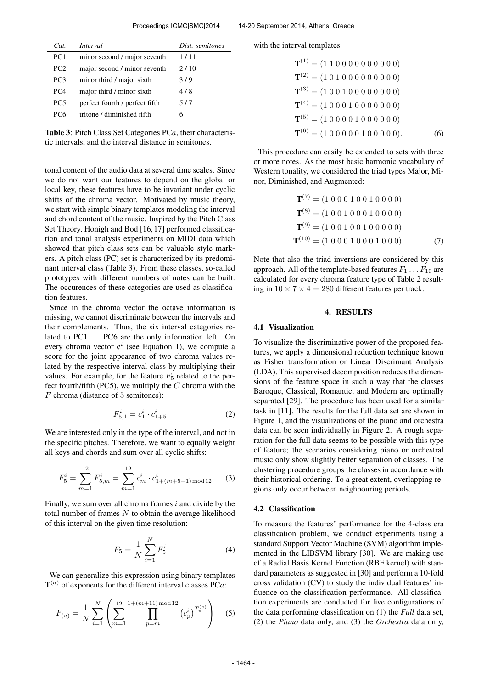| Cat             | <i>Interval</i>                | Dist. semitones |
|-----------------|--------------------------------|-----------------|
| PC <sub>1</sub> | minor second / major seventh   | 1/11            |
| PC2             | major second / minor seventh   | 2/10            |
| PC <sub>3</sub> | minor third / major sixth      | 3/9             |
| PC <sub>4</sub> | major third / minor sixth      | 4/8             |
| PC <sub>5</sub> | perfect fourth / perfect fifth | 5/7             |
| PC <sub>6</sub> | tritone / diminished fifth     |                 |

Table 3: Pitch Class Set Categories PCa, their characteristic intervals, and the interval distance in semitones.

tonal content of the audio data at several time scales. Since we do not want our features to depend on the global or local key, these features have to be invariant under cyclic shifts of the chroma vector. Motivated by music theory, we start with simple binary templates modeling the interval and chord content of the music. Inspired by the Pitch Class Set Theory, Honigh and Bod [16, 17] performed classification and tonal analysis experiments on MIDI data which showed that pitch class sets can be valuable style markers. A pitch class (PC) set is characterized by its predominant interval class (Table 3). From these classes, so-called prototypes with different numbers of notes can be built. The occurences of these categories are used as classification features.

Since in the chroma vector the octave information is missing, we cannot discriminate between the intervals and their complements. Thus, the six interval categories related to PC1 ... PC6 are the only information left. On every chroma vector  $c^i$  (see Equation 1), we compute a score for the joint appearance of two chroma values related by the respective interval class by multiplying their values. For example, for the feature  $F_5$  related to the perfect fourth/fifth (PC5), we multiply the  $C$  chroma with the  $F$  chroma (distance of 5 semitones):

$$
F_{5,1}^i = c_1^i \cdot c_{1+5}^i \tag{2}
$$

We are interested only in the type of the interval, and not in the specific pitches. Therefore, we want to equally weight all keys and chords and sum over all cyclic shifts:

$$
F_5^i = \sum_{m=1}^{12} F_{5,m}^i = \sum_{m=1}^{12} c_m^i \cdot c_{1+(m+5-1) \text{ mod } 12}^i \tag{3}
$$

Finally, we sum over all chroma frames  $i$  and divide by the total number of frames  $N$  to obtain the average likelihood of this interval on the given time resolution:

$$
F_5 = \frac{1}{N} \sum_{i=1}^{N} F_5^i
$$
 (4)

We can generalize this expression using binary templates  $T^{(a)}$  of exponents for the different interval classes PCa:

$$
F_{(a)} = \frac{1}{N} \sum_{i=1}^{N} \left( \sum_{m=1}^{12} \prod_{p=m}^{1+(m+11) \mod 12} \left( c_p^i \right)^{T_p^{(a)}} \right) \tag{5}
$$

with the interval templates

$$
\mathbf{T}^{(1)} = (1\ 1\ 0\ 0\ 0\ 0\ 0\ 0\ 0\ 0\ 0)
$$
  
\n
$$
\mathbf{T}^{(2)} = (1\ 0\ 1\ 0\ 0\ 0\ 0\ 0\ 0\ 0\ 0)
$$
  
\n
$$
\mathbf{T}^{(3)} = (1\ 0\ 0\ 1\ 0\ 0\ 0\ 0\ 0\ 0\ 0)
$$
  
\n
$$
\mathbf{T}^{(4)} = (1\ 0\ 0\ 0\ 1\ 0\ 0\ 0\ 0\ 0\ 0)
$$
  
\n
$$
\mathbf{T}^{(5)} = (1\ 0\ 0\ 0\ 1\ 0\ 0\ 0\ 0\ 0\ 0)
$$
  
\n
$$
\mathbf{T}^{(6)} = (1\ 0\ 0\ 0\ 0\ 1\ 0\ 0\ 0\ 0\ 0).
$$
 (6)

This procedure can easily be extended to sets with three or more notes. As the most basic harmonic vocabulary of Western tonality, we considered the triad types Major, Minor, Diminished, and Augmented:

$$
\mathbf{T}^{(7)} = (1\ 0\ 0\ 1\ 0\ 0\ 1\ 0\ 0\ 0\ 0)
$$
  
\n
$$
\mathbf{T}^{(8)} = (1\ 0\ 0\ 1\ 0\ 0\ 0\ 1\ 0\ 0\ 0\ 0)
$$
  
\n
$$
\mathbf{T}^{(9)} = (1\ 0\ 0\ 1\ 0\ 0\ 1\ 0\ 0\ 0\ 0)
$$
  
\n
$$
\mathbf{T}^{(10)} = (1\ 0\ 0\ 0\ 1\ 0\ 0\ 0\ 1\ 0\ 0\ 0).
$$
 (7)

Note that also the triad inversions are considered by this approach. All of the template-based features  $F_1 \ldots F_{10}$  are calculated for every chroma feature type of Table 2 resulting in  $10 \times 7 \times 4 = 280$  different features per track.

#### 4. RESULTS

#### 4.1 Visualization

To visualize the discriminative power of the proposed features, we apply a dimensional reduction technique known as Fisher transformation or Linear Discrimant Analysis (LDA). This supervised decomposition reduces the dimensions of the feature space in such a way that the classes Baroque, Classical, Romantic, and Modern are optimally separated [29]. The procedure has been used for a similar task in [11]. The results for the full data set are shown in Figure 1, and the visualizations of the piano and orchestra data can be seen individually in Figure 2. A rough separation for the full data seems to be possible with this type of feature; the scenarios considering piano or orchestral music only show slightly better separation of classes. The clustering procedure groups the classes in accordance with their historical ordering. To a great extent, overlapping regions only occur between neighbouring periods.

#### 4.2 Classification

To measure the features' performance for the 4-class era classification problem, we conduct experiments using a standard Support Vector Machine (SVM) algorithm implemented in the LIBSVM library [30]. We are making use of a Radial Basis Kernel Function (RBF kernel) with standard parameters as suggested in [30] and perform a 10-fold cross validation (CV) to study the individual features' influence on the classification performance. All classification experiments are conducted for five configurations of the data performing classification on (1) the *Full* data set, (2) the *Piano* data only, and (3) the *Orchestra* data only,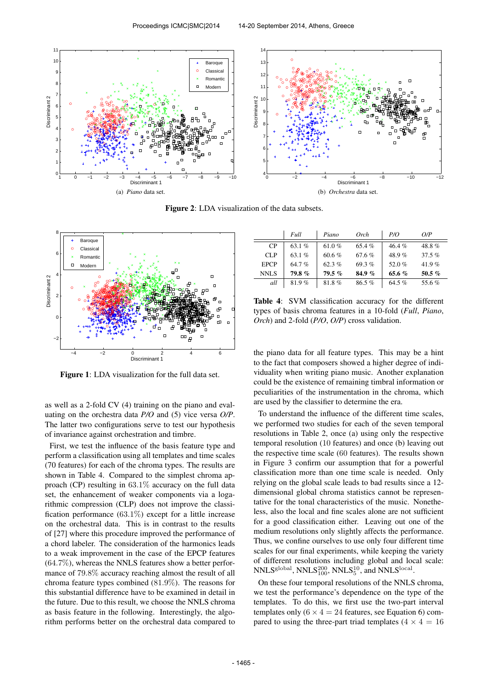

Figure 2: LDA visualization of the data subsets.



Figure 1: LDA visualization for the full data set.

as well as a 2-fold CV (4) training on the piano and evaluating on the orchestra data *P/O* and (5) vice versa *O/P*. The latter two configurations serve to test our hypothesis of invariance against orchestration and timbre.

First, we test the influence of the basis feature type and perform a classification using all templates and time scales (70 features) for each of the chroma types. The results are shown in Table 4. Compared to the simplest chroma approach (CP) resulting in 63.1% accuracy on the full data set, the enhancement of weaker components via a logarithmic compression (CLP) does not improve the classification performance  $(63.1\%)$  except for a little increase on the orchestral data. This is in contrast to the results of [27] where this procedure improved the performance of a chord labeler. The consideration of the harmonics leads to a weak improvement in the case of the EPCP features  $(64.7\%)$ , whereas the NNLS features show a better performance of 79.8% accuracy reaching almost the result of all chroma feature types combined (81.9%). The reasons for this substantial difference have to be examined in detail in the future. Due to this result, we choose the NNLS chroma as basis feature in the following. Interestingly, the algorithm performs better on the orchestral data compared to

|             | Full     | Piano    | Orch     | P/O      | O/P      |
|-------------|----------|----------|----------|----------|----------|
| <b>CP</b>   | 63.1 $%$ | 61.0 %   | 65.4%    | 46.4%    | 48.8%    |
| CLP         | 63.1 $%$ | 60.6%    | 67.6%    | 48.9%    | 37.5%    |
| <b>EPCP</b> | 64.7%    | 62.3 $%$ | 69.3%    | 52.0 $%$ | 41.9%    |
| NNLS        | 79.8%    | $79.5\%$ | 84.9 $%$ | 65.6 $%$ | 50.5 $%$ |
| all         | 81.9%    | 81.8%    | 86.5%    | 64.5 %   | 55.6%    |

Table 4: SVM classification accuracy for the different types of basis chroma features in a 10-fold (*Full*, *Piano*, *Orch*) and 2-fold (*P/O*, *O/P*) cross validation.

the piano data for all feature types. This may be a hint to the fact that composers showed a higher degree of individuality when writing piano music. Another explanation could be the existence of remaining timbral information or peculiarities of the instrumentation in the chroma, which are used by the classifier to determine the era.

To understand the influence of the different time scales, we performed two studies for each of the seven temporal resolutions in Table 2, once (a) using only the respective temporal resolution (10 features) and once (b) leaving out the respective time scale (60 features). The results shown in Figure 3 confirm our assumption that for a powerful classification more than one time scale is needed. Only relying on the global scale leads to bad results since a 12 dimensional global chroma statistics cannot be representative for the tonal characteristics of the music. Nonetheless, also the local and fine scales alone are not sufficient for a good classification either. Leaving out one of the medium resolutions only slightly affects the performance. Thus, we confine ourselves to use only four different time scales for our final experiments, while keeping the variety of different resolutions including global and local scale:  $\text{NNLS}^{\text{global}}, \text{NNLS}^{\text{200}}_{\text{100}}, \text{NNLS}^{\text{10}}_{\text{5}}, \text{and } \text{NNLS}^{\text{local}}.$ 

On these four temporal resolutions of the NNLS chroma, we test the performance's dependence on the type of the templates. To do this, we first use the two-part interval templates only  $(6 \times 4 = 24$  features, see Equation 6) compared to using the three-part triad templates  $(4 \times 4 = 16)$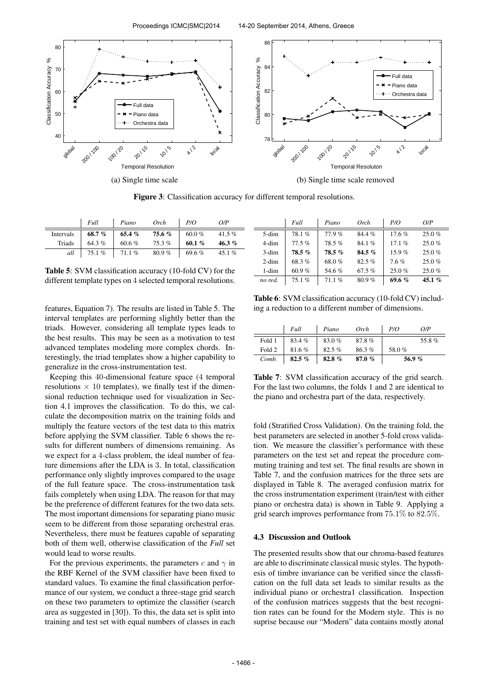

Figure 3: Classification accuracy for different temporal resolutions.

|           | Full     | Piano | Orch   | P/O      | O/P      |
|-----------|----------|-------|--------|----------|----------|
| Intervals | 68.7%    | 65.4% | 75.6 % | 60.0 %   | 41.5%    |
| Triads    | 64.3 $%$ | 60.6% | 75.3%  | 60.1 $%$ | 46.3%    |
| all       | 75.1%    | 71.1% | 80.9%  | 69.6%    | 45.1 $%$ |

Table 5: SVM classification accuracy (10-fold CV) for the different template types on 4 selected temporal resolutions.

features, Equation 7). The results are listed in Table 5. The interval templates are performing slightly better than the triads. However, considering all template types leads to the best results. This may be seen as a motivation to test advanced templates modeling more complex chords. Interestingly, the triad templates show a higher capability to generalize in the cross-instrumentation test.

Keeping this 40-dimensional feature space (4 temporal resolutions  $\times$  10 templates), we finally test if the dimensional reduction technique used for visualization in Section 4.1 improves the classification. To do this, we calculate the decomposition matrix on the training folds and multiply the feature vectors of the test data to this matrix before applying the SVM classifier. Table 6 shows the results for different numbers of dimensions remaining. As we expect for a 4-class problem, the ideal number of feature dimensions after the LDA is 3. In total, classification performance only slightly improves compared to the usage of the full feature space. The cross-instrumentation task fails completely when using LDA. The reason for that may be the preference of different features for the two data sets. The most important dimensions for separating piano music seem to be different from those separating orchestral eras. Nevertheless, there must be features capable of separating both of them well, otherwise classification of the *Full* set would lead to worse results.

For the previous experiments, the parameters c and  $\gamma$  in the RBF Kernel of the SVM classifier have been fixed to standard values. To examine the final classification performance of our system, we conduct a three-stage grid search on these two parameters to optimize the classifier (search area as suggested in [30]). To this, the data set is split into training and test set with equal numbers of classes in each

|          | Full     | Piano     | Orch     | P/O      | O/P      |
|----------|----------|-----------|----------|----------|----------|
| 5-dim    | 78.1%    | 77.9%     | 84.4%    | 17.6%    | 25.0%    |
| 4-dim    | 77.5%    | 78.5%     | 84.1%    | 17.1%    | 25.0%    |
| 3-dim    | $78.5\%$ | $78.5 \%$ | $84.5\%$ | 15.9%    | 25.0%    |
| $2$ -dim | 68.3%    | 68.0%     | 82.5%    | 7.6%     | 25.0%    |
| 1-dim    | 60.9%    | 54.6%     | 67.5%    | 25.0%    | 25.0%    |
| no red.  | 75.1%    | 71.1%     | 80.9%    | 69.6 $%$ | 45.1 $%$ |

Table 6: SVM classification accuracy (10-fold CV) including a reduction to a different number of dimensions.

|        | Full     | Piano    | Orch  | P/O   | O/P   |
|--------|----------|----------|-------|-------|-------|
| Fold 1 | 83.4%    | 83.0%    | 87.8% |       | 55.8% |
| Fold 2 | 81.6%    | 82.5%    | 86.3% | 58.0% |       |
| Comb.  | 82.5 $%$ | 82.8 $%$ | 87.0% |       | 56.9% |

Table 7: SVM classification accuracy of the grid search. For the last two columns, the folds 1 and 2 are identical to the piano and orchestra part of the data, respectively.

fold (Stratified Cross Validation). On the training fold, the best parameters are selected in another 5-fold cross validation. We measure the classifier's performance with these parameters on the test set and repeat the procedure commuting training and test set. The final results are shown in Table 7, and the confusion matrices for the three sets are displayed in Table 8. The averaged confusion matrix for the cross instrumentation experiment (train/test with either piano or orchestra data) is shown in Table 9. Applying a grid search improves performance from 75.1% to 82.5%.

## 4.3 Discussion and Outlook

The presented results show that our chroma-based features are able to discriminate classical music styles. The hypothesis of timbre invariance can be verified since the classfication on the full data set leads to similar results as the individual piano or orchestra1 classification. Inspection of the confusion matrices suggests that the best recognition rates can be found for the Modern style. This is no suprise because our "Modern" data contains mostly atonal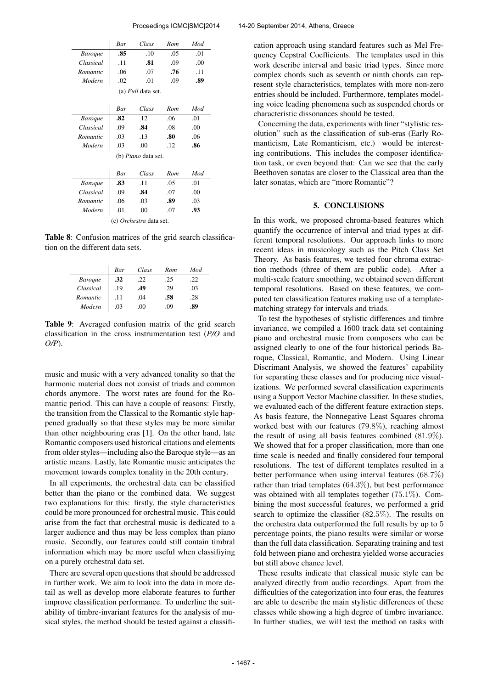|                            | <b>Bar</b>                 | Class | Rom | Mod |  |  |  |  |
|----------------------------|----------------------------|-------|-----|-----|--|--|--|--|
| <b>Baroque</b>             | .85                        | .10   | .05 | .01 |  |  |  |  |
| Classical                  | .11                        | .81   | .09 | .00 |  |  |  |  |
| Romantic                   | .06                        | .07   | .76 | .11 |  |  |  |  |
| Modern                     | .02                        | .01   | .09 | .89 |  |  |  |  |
| (a) <i>Full</i> data set.  |                            |       |     |     |  |  |  |  |
|                            | Bar                        | Class | Rom | Mod |  |  |  |  |
| <b>Baroque</b>             | .82                        | 12    | .06 | .01 |  |  |  |  |
| Classical                  | .09                        | .84   | .08 | .00 |  |  |  |  |
| Romantic                   | .03                        | .13   | .80 | .06 |  |  |  |  |
| Modern                     | .03                        | .00   | .12 | .86 |  |  |  |  |
| (b) <i>Piano</i> data set. |                            |       |     |     |  |  |  |  |
|                            | Class<br>Bar<br>Rom<br>Mod |       |     |     |  |  |  |  |
| <b>Baroque</b>             | .83                        | .11   | .05 | .01 |  |  |  |  |
| Classical                  | .09                        | .84   | .07 | .00 |  |  |  |  |
| Romantic                   | .06                        | .03   | .89 | .03 |  |  |  |  |
| Modern                     | .01                        | .00   | .07 | .93 |  |  |  |  |
| (c) Orchestra data set.    |                            |       |     |     |  |  |  |  |

Table 8: Confusion matrices of the grid search classification on the different data sets.

|                | Bar | Class | Rom | Mod |
|----------------|-----|-------|-----|-----|
| <b>Baroque</b> | .32 | .22   | .25 | .22 |
| Classical      | .19 | .49   | .29 | .03 |
| Romantic       | .11 | .04   | .58 | .28 |
| Modern         | .03 | .00   | .09 | .89 |

Table 9: Averaged confusion matrix of the grid search classification in the cross instrumentation test (*P/O* and *O/P*).

music and music with a very advanced tonality so that the harmonic material does not consist of triads and common chords anymore. The worst rates are found for the Romantic period. This can have a couple of reasons: Firstly, the transition from the Classical to the Romantic style happened gradually so that these styles may be more similar than other neighbouring eras [1]. On the other hand, late Romantic composers used historical citations and elements from older styles—including also the Baroque style—as an artistic means. Lastly, late Romantic music anticipates the movement towards complex tonality in the 20th century.

In all experiments, the orchestral data can be classified better than the piano or the combined data. We suggest two explanations for this: firstly, the style characteristics could be more pronounced for orchestral music. This could arise from the fact that orchestral music is dedicated to a larger audience and thus may be less complex than piano music. Secondly, our features could still contain timbral information which may be more useful when classifiying on a purely orchestral data set.

There are several open questions that should be addressed in further work. We aim to look into the data in more detail as well as develop more elaborate features to further improve classification performance. To underline the suitability of timbre-invariant features for the analysis of musical styles, the method should be tested against a classification approach using standard features such as Mel Frequency Cepstral Coefficients. The templates used in this work describe interval and basic triad types. Since more complex chords such as seventh or ninth chords can represent style characteristics, templates with more non-zero entries should be included. Furthermore, templates modeling voice leading phenomena such as suspended chords or characteristic dissonances should be tested.

Concerning the data, experiments with finer "stylistic resolution" such as the classification of sub-eras (Early Romanticism, Late Romanticism, etc.) would be interesting contributions. This includes the composer identification task, or even beyond that: Can we see that the early Beethoven sonatas are closer to the Classical area than the later sonatas, which are "more Romantic"?

## 5. CONCLUSIONS

In this work, we proposed chroma-based features which quantify the occurrence of interval and triad types at different temporal resolutions. Our approach links to more recent ideas in musicology such as the Pitch Class Set Theory. As basis features, we tested four chroma extraction methods (three of them are public code). After a multi-scale feature smoothing, we obtained seven different temporal resolutions. Based on these features, we computed ten classification features making use of a templatematching strategy for intervals and triads.

To test the hypotheses of stylistic differences and timbre invariance, we compiled a 1600 track data set containing piano and orchestral music from composers who can be assigned clearly to one of the four historical periods Baroque, Classical, Romantic, and Modern. Using Linear Discrimant Analysis, we showed the features' capability for separating these classes and for producing nice visualizations. We performed several classification experiments using a Support Vector Machine classifier. In these studies, we evaluated each of the different feature extraction steps. As basis feature, the Nonnegative Least Squares chroma worked best with our features (79.8%), reaching almost the result of using all basis features combined (81.9%). We showed that for a proper classification, more than one time scale is needed and finally considered four temporal resolutions. The test of different templates resulted in a better performance when using interval features (68.7%) rather than triad templates (64.3%), but best performance was obtained with all templates together (75.1%). Combining the most successful features, we performed a grid search to optimize the classifier (82.5%). The results on the orchestra data outperformed the full results by up to 5 percentage points, the piano results were similar or worse than the full data classification. Separating training and test fold between piano and orchestra yielded worse accuracies but still above chance level.

These results indicate that classical music style can be analyzed directly from audio recordings. Apart from the difficulties of the categorization into four eras, the features are able to describe the main stylistic differences of these classes while showing a high degree of timbre invariance. In further studies, we will test the method on tasks with